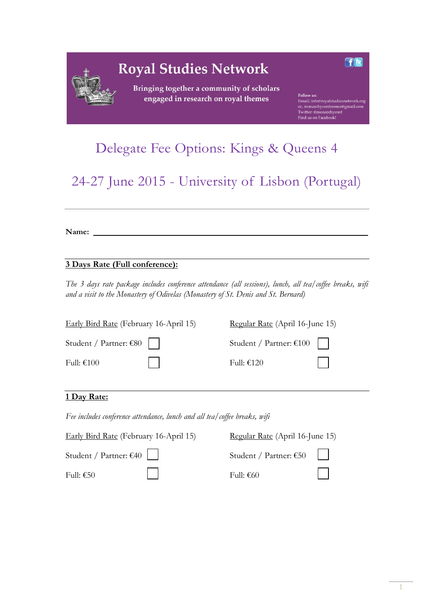| <b>Royal Studies Network</b><br>Bringing together a community of scholars |                                                                                                                                         |
|---------------------------------------------------------------------------|-----------------------------------------------------------------------------------------------------------------------------------------|
| engaged in research on royal themes                                       | Follow us:<br>Email: info@royalstudiesnetwork.org<br>or, monarchyconference@gmail.com<br>Twitter: @monarchyconf<br>Find us on Facebook! |

# Delegate Fee Options: Kings & Queens 4

24-27 June 2015 - University of Lisbon (Portugal)

**Name:**

## **3 Days Rate (Full conference):**

*The 3 days rate package includes conference attendance (all sessions), lunch, all tea/coffee breaks, wifi and a visit to the Monastery of Odivelas (Monastery of St. Denis and St. Bernard)* 

| Early Bird Rate (February 16-April 15) | Regular Rate (April 16-June 15) |  |
|----------------------------------------|---------------------------------|--|
| Student / Partner: $\epsilon$ 80       | Student / Partner: €100         |  |
| Full: €100                             | Full: €120                      |  |
|                                        |                                 |  |

### **1 Day Rate:**

*Fee includes conference attendance, lunch and all tea/coffee breaks, wifi* 

| Early Bird Rate (February 16-April 15) | Regular Rate (April 16-June 15)  |         |
|----------------------------------------|----------------------------------|---------|
| Student / Partner: $\epsilon$ 40       | Student / Partner: $\epsilon$ 50 |         |
| Full: €50                              | Full: €60                        | $\perp$ |